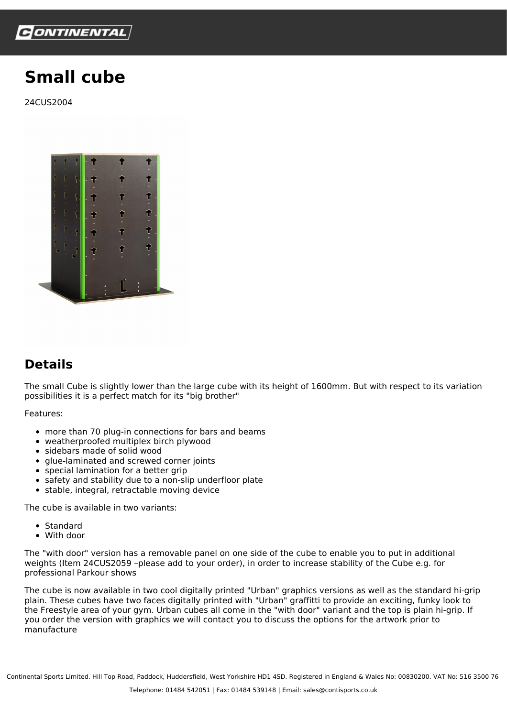

## **Small cube**

24CUS2004



## **Details**

The small Cube is slightly lower than the large cube with its height of 1600mm. But with respect to its variation possibilities it is a perfect match for its "big brother"

Features:

- more than 70 plug-in connections for bars and beams
- weatherproofed multiplex birch plywood
- sidebars made of solid wood
- glue-laminated and screwed corner joints
- special lamination for a better grip
- safety and stability due to a non-slip underfloor plate
- stable, integral, retractable moving device

The cube is available in two variants:

- Standard
- With door

The "with door" version has a removable panel on one side of the cube to enable you to put in additional weights (Item 24CUS2059 –please add to your order), in order to increase stability of the Cube e.g. for professional Parkour shows

The cube is now available in two cool digitally printed "Urban" graphics versions as well as the standard hi-grip plain. These cubes have two faces digitally printed with "Urban" graffitti to provide an exciting, funky look to the Freestyle area of your gym. Urban cubes all come in the "with door" variant and the top is plain hi-grip. If you order the version with graphics we will contact you to discuss the options for the artwork prior to manufacture

Continental Sports Limited. Hill Top Road, Paddock, Huddersfield, West Yorkshire HD1 4SD. Registered in England & Wales No: 00830200. VAT No: 516 3500 76